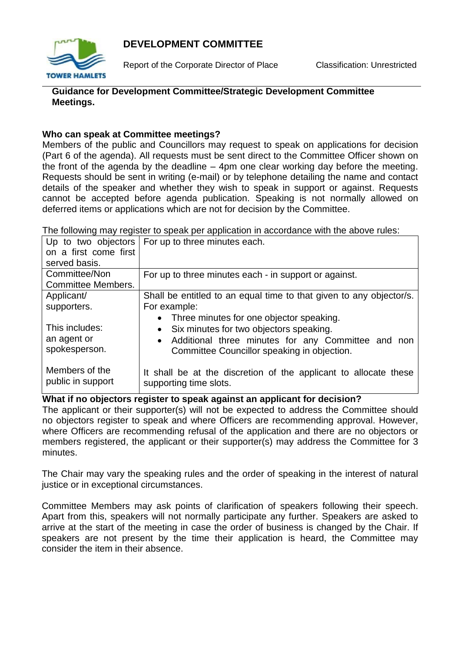# **DEVELOPMENT COMMITTEE**



Report of the Corporate Director of Place Classification: Unrestricted

### **Guidance for Development Committee/Strategic Development Committee Meetings.**

#### **Who can speak at Committee meetings?**

Members of the public and Councillors may request to speak on applications for decision (Part 6 of the agenda). All requests must be sent direct to the Committee Officer shown on the front of the agenda by the deadline – 4pm one clear working day before the meeting. Requests should be sent in writing (e-mail) or by telephone detailing the name and contact details of the speaker and whether they wish to speak in support or against. Requests cannot be accepted before agenda publication. Speaking is not normally allowed on deferred items or applications which are not for decision by the Committee.

|                           | Up to two objectors   For up to three minutes each.                 |
|---------------------------|---------------------------------------------------------------------|
| on a first come first     |                                                                     |
| served basis.             |                                                                     |
| Committee/Non             | For up to three minutes each - in support or against.               |
| <b>Committee Members.</b> |                                                                     |
| Applicant/                | Shall be entitled to an equal time to that given to any objector/s. |
| supporters.               | For example:                                                        |
|                           | • Three minutes for one objector speaking.                          |
| This includes:            | • Six minutes for two objectors speaking.                           |
| an agent or               | • Additional three minutes for any Committee and non                |
| spokesperson.             | Committee Councillor speaking in objection.                         |
|                           |                                                                     |
| Members of the            | It shall be at the discretion of the applicant to allocate these    |
| public in support         | supporting time slots.                                              |
|                           |                                                                     |

The following may register to speak per application in accordance with the above rules:

# **What if no objectors register to speak against an applicant for decision?**

The applicant or their supporter(s) will not be expected to address the Committee should no objectors register to speak and where Officers are recommending approval. However, where Officers are recommending refusal of the application and there are no objectors or members registered, the applicant or their supporter(s) may address the Committee for 3 minutes.

The Chair may vary the speaking rules and the order of speaking in the interest of natural justice or in exceptional circumstances.

Committee Members may ask points of clarification of speakers following their speech. Apart from this, speakers will not normally participate any further. Speakers are asked to arrive at the start of the meeting in case the order of business is changed by the Chair. If speakers are not present by the time their application is heard, the Committee may consider the item in their absence.